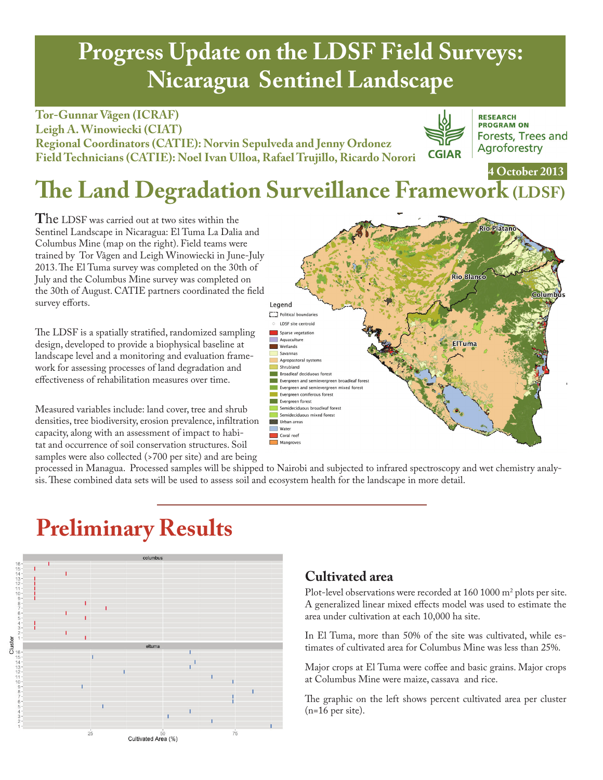# **Progress Update on the LDSF Field Surveys: Nicaragua Sentinel Landscape**

**Tor-Gunnar Vågen (ICRAF) Leigh A. Winowiecki (CIAT) Regional Coordinators (CATIE): Norvin Sepulveda and Jenny Ordonez Field Technicians (CATIE): Noel Ivan Ulloa, Rafael Trujillo, Ricardo Norori**



**RESEARCH PROGRAM ON** Forests, Trees and Agroforestry

## **The Land Degradation Surveillance Framework (LDSF) 4 October 2013**

**T**he LDSF was carried out at two sites within the Sentinel Landscape in Nicaragua: El Tuma La Dalia and Columbus Mine (map on the right). Field teams were trained by Tor Vågen and Leigh Winowiecki in June-July 2013. The El Tuma survey was completed on the 30th of July and the Columbus Mine survey was completed on the 30th of August. CATIE partners coordinated the field survey efforts.

The LDSF is a spatially stratified, randomized sampling design, developed to provide a biophysical baseline at landscape level and a monitoring and evaluation framework for assessing processes of land degradation and effectiveness of rehabilitation measures over time.

Measured variables include: land cover, tree and shrub densities, tree biodiversity, erosion prevalence, infiltration capacity, along with an assessment of impact to habitat and occurrence of soil conservation structures. Soil samples were also collected (>700 per site) and are being



processed in Managua. Processed samples will be shipped to Nairobi and subjected to infrared spectroscopy and wet chemistry analysis. These combined data sets will be used to assess soil and ecosystem health for the landscape in more detail.

## **Preliminary Results**



### **Cultivated area**

Plot-level observations were recorded at  $160 1000 \text{ m}^2$  plots per site. A generalized linear mixed effects model was used to estimate the area under cultivation at each 10,000 ha site.

In El Tuma, more than 50% of the site was cultivated, while estimates of cultivated area for Columbus Mine was less than 25%.

Major crops at El Tuma were coffee and basic grains. Major crops at Columbus Mine were maize, cassava and rice.

The graphic on the left shows percent cultivated area per cluster (n=16 per site).